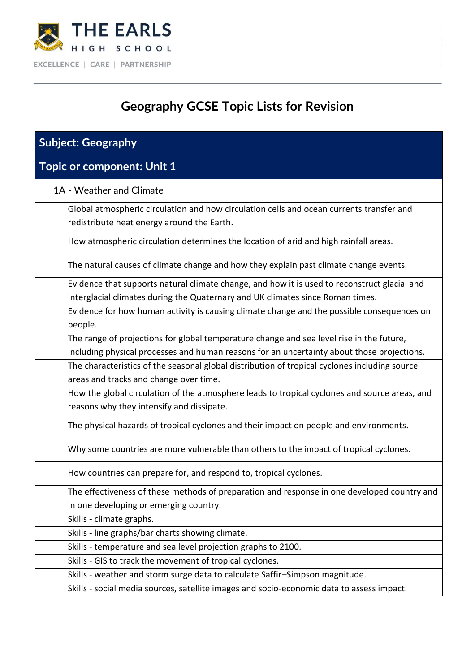

## **Geography GCSE Topic Lists for Revision**

| <b>Subject: Geography</b>                                                                                                              |
|----------------------------------------------------------------------------------------------------------------------------------------|
| <b>Topic or component: Unit 1</b>                                                                                                      |
| 1A - Weather and Climate                                                                                                               |
| Global atmospheric circulation and how circulation cells and ocean currents transfer and<br>redistribute heat energy around the Earth. |
| How atmospheric circulation determines the location of arid and high rainfall areas.                                                   |
| The natural causes of climate change and how they explain past climate change events.                                                  |
| Evidence that supports natural climate change, and how it is used to reconstruct glacial and                                           |
| interglacial climates during the Quaternary and UK climates since Roman times.                                                         |
| Evidence for how human activity is causing climate change and the possible consequences on<br>people.                                  |
| The range of projections for global temperature change and sea level rise in the future,                                               |
| including physical processes and human reasons for an uncertainty about those projections.                                             |
| The characteristics of the seasonal global distribution of tropical cyclones including source                                          |
| areas and tracks and change over time.                                                                                                 |
| How the global circulation of the atmosphere leads to tropical cyclones and source areas, and                                          |
| reasons why they intensify and dissipate.                                                                                              |
| The physical hazards of tropical cyclones and their impact on people and environments.                                                 |
| Why some countries are more vulnerable than others to the impact of tropical cyclones.                                                 |
| How countries can prepare for, and respond to, tropical cyclones.                                                                      |
| The effectiveness of these methods of preparation and response in one developed country and                                            |
| in one developing or emerging country.                                                                                                 |
| Skills - climate graphs.                                                                                                               |
| Skills - line graphs/bar charts showing climate.                                                                                       |
| Skills - temperature and sea level projection graphs to 2100.                                                                          |
| Skills - GIS to track the movement of tropical cyclones.                                                                               |
| Skills - weather and storm surge data to calculate Saffir-Simpson magnitude.                                                           |
| Skills - social media sources, satellite images and socio-economic data to assess impact.                                              |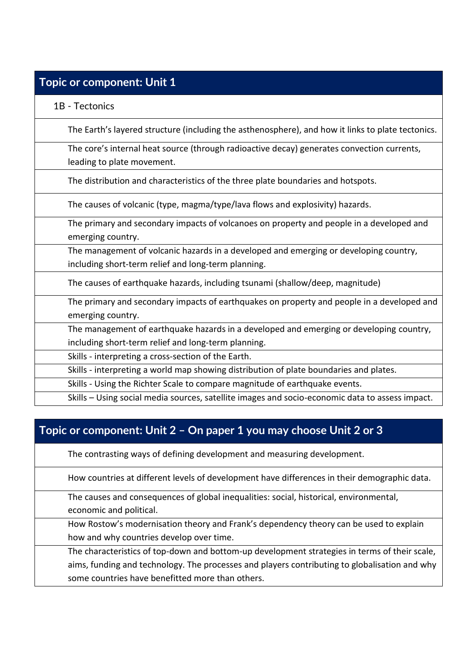#### **Topic or component: Unit 1**

1B - Tectonics

The Earth's layered structure (including the asthenosphere), and how it links to plate tectonics.

The core's internal heat source (through radioactive decay) generates convection currents, leading to plate movement.

The distribution and characteristics of the three plate boundaries and hotspots.

The causes of volcanic (type, magma/type/lava flows and explosivity) hazards.

The primary and secondary impacts of volcanoes on property and people in a developed and emerging country.

The management of volcanic hazards in a developed and emerging or developing country, including short-term relief and long-term planning.

The causes of earthquake hazards, including tsunami (shallow/deep, magnitude)

The primary and secondary impacts of earthquakes on property and people in a developed and emerging country.

The management of earthquake hazards in a developed and emerging or developing country, including short-term relief and long-term planning.

Skills - interpreting a cross-section of the Earth.

Skills - interpreting a world map showing distribution of plate boundaries and plates.

Skills - Using the Richter Scale to compare magnitude of earthquake events.

Skills – Using social media sources, satellite images and socio-economic data to assess impact.

### **Topic or component: Unit 2 – On paper 1 you may choose Unit 2 or 3**

The contrasting ways of defining development and measuring development.

How countries at different levels of development have differences in their demographic data.

The causes and consequences of global inequalities: social, historical, environmental, economic and political.

How Rostow's modernisation theory and Frank's dependency theory can be used to explain how and why countries develop over time.

The characteristics of top-down and bottom-up development strategies in terms of their scale, aims, funding and technology. The processes and players contributing to globalisation and why some countries have benefitted more than others.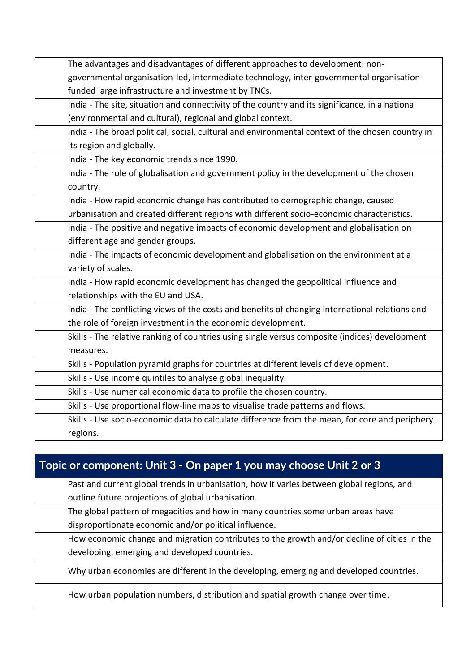| The advantages and disadvantages of different approaches to development: non-                    |
|--------------------------------------------------------------------------------------------------|
| governmental organisation-led, intermediate technology, inter-governmental organisation-         |
| funded large infrastructure and investment by TNCs.                                              |
| India - The site, situation and connectivity of the country and its significance, in a national  |
| (environmental and cultural), regional and global context.                                       |
| India - The broad political, social, cultural and environmental context of the chosen country in |
| its region and globally.                                                                         |
| India - The key economic trends since 1990.                                                      |
| India - The role of globalisation and government policy in the development of the chosen         |
| country.                                                                                         |
| India - How rapid economic change has contributed to demographic change, caused                  |
| urbanisation and created different regions with different socio-economic characteristics.        |
| India - The positive and negative impacts of economic development and globalisation on           |
| different age and gender groups.                                                                 |
| India - The impacts of economic development and globalisation on the environment at a            |
| variety of scales.                                                                               |
| India - How rapid economic development has changed the geopolitical influence and                |
| relationships with the EU and USA.                                                               |
| India - The conflicting views of the costs and benefits of changing international relations and  |
| the role of foreign investment in the economic development.                                      |
| Skills - The relative ranking of countries using single versus composite (indices) development   |
| measures.                                                                                        |
| Skills - Population pyramid graphs for countries at different levels of development.             |
| Skills - Use income quintiles to analyse global inequality.                                      |
| Skills - Use numerical economic data to profile the chosen country.                              |
| Skills - Use proportional flow-line maps to visualise trade patterns and flows.                  |
| Skills - Use socio-economic data to calculate difference from the mean, for core and periphery   |
| regions.                                                                                         |

#### **Topic or component: Unit 3 - On paper 1 you may choose Unit 2 or 3**

Past and current global trends in urbanisation, how it varies between global regions, and outline future projections of global urbanisation.

The global pattern of megacities and how in many countries some urban areas have disproportionate economic and/or political influence.

How economic change and migration contributes to the growth and/or decline of cities in the developing, emerging and developed countries.

Why urban economies are different in the developing, emerging and developed countries.

How urban population numbers, distribution and spatial growth change over time.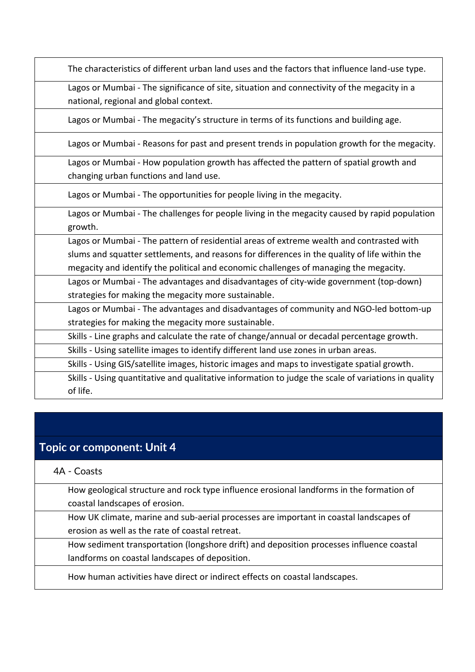| The characteristics of different urban land uses and the factors that influence land-use type.      |
|-----------------------------------------------------------------------------------------------------|
| Lagos or Mumbai - The significance of site, situation and connectivity of the megacity in a         |
| national, regional and global context.                                                              |
| Lagos or Mumbai - The megacity's structure in terms of its functions and building age.              |
| Lagos or Mumbai - Reasons for past and present trends in population growth for the megacity.        |
| Lagos or Mumbai - How population growth has affected the pattern of spatial growth and              |
| changing urban functions and land use.                                                              |
| Lagos or Mumbai - The opportunities for people living in the megacity.                              |
| Lagos or Mumbai - The challenges for people living in the megacity caused by rapid population       |
| growth.                                                                                             |
| Lagos or Mumbai - The pattern of residential areas of extreme wealth and contrasted with            |
| slums and squatter settlements, and reasons for differences in the quality of life within the       |
| megacity and identify the political and economic challenges of managing the megacity.               |
| Lagos or Mumbai - The advantages and disadvantages of city-wide government (top-down)               |
| strategies for making the megacity more sustainable.                                                |
| Lagos or Mumbai - The advantages and disadvantages of community and NGO-led bottom-up               |
| strategies for making the megacity more sustainable.                                                |
| Skills - Line graphs and calculate the rate of change/annual or decadal percentage growth.          |
| Skills - Using satellite images to identify different land use zones in urban areas.                |
| Skills - Using GIS/satellite images, historic images and maps to investigate spatial growth.        |
| Skills - Using quantitative and qualitative information to judge the scale of variations in quality |
| of life.                                                                                            |

# **Topic or component: Unit 4**

| 4A - Coasts                                                                              |
|------------------------------------------------------------------------------------------|
| How geological structure and rock type influence erosional landforms in the formation of |
| coastal landscapes of erosion.                                                           |
| How UK climate, marine and sub-aerial processes are important in coastal landscapes of   |
| erosion as well as the rate of coastal retreat.                                          |
| How sediment transportation (longshore drift) and deposition processes influence coastal |
| landforms on coastal landscapes of deposition.                                           |
| How human activities have direct or indirect effects on coastal landscapes.              |
|                                                                                          |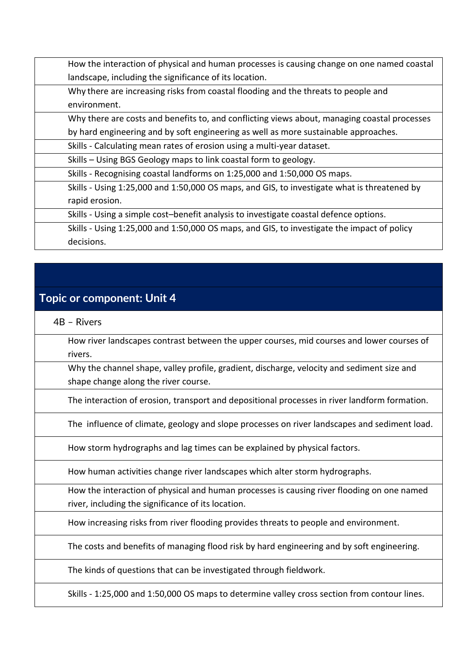| How the interaction of physical and human processes is causing change on one named coastal   |
|----------------------------------------------------------------------------------------------|
| landscape, including the significance of its location.                                       |
| Why there are increasing risks from coastal flooding and the threats to people and           |
| environment.                                                                                 |
| Why there are costs and benefits to, and conflicting views about, managing coastal processes |
| by hard engineering and by soft engineering as well as more sustainable approaches.          |
| Skills - Calculating mean rates of erosion using a multi-year dataset.                       |
| Skills – Using BGS Geology maps to link coastal form to geology.                             |
| Skills - Recognising coastal landforms on 1:25,000 and 1:50,000 OS maps.                     |
| Skills - Using 1:25,000 and 1:50,000 OS maps, and GIS, to investigate what is threatened by  |
| rapid erosion.                                                                               |
| Skills - Using a simple cost-benefit analysis to investigate coastal defence options.        |
| Skills - Using 1:25,000 and 1:50,000 OS maps, and GIS, to investigate the impact of policy   |
| decisions.                                                                                   |

#### **Topic or component: Unit 4**

4B – Rivers

How river landscapes contrast between the upper courses, mid courses and lower courses of rivers.

Why the channel shape, valley profile, gradient, discharge, velocity and sediment size and shape change along the river course.

The interaction of erosion, transport and depositional processes in river landform formation.

The influence of climate, geology and slope processes on river landscapes and sediment load.

How storm hydrographs and lag times can be explained by physical factors.

How human activities change river landscapes which alter storm hydrographs.

How the interaction of physical and human processes is causing river flooding on one named river, including the significance of its location.

How increasing risks from river flooding provides threats to people and environment.

The costs and benefits of managing flood risk by hard engineering and by soft engineering.

The kinds of questions that can be investigated through fieldwork.

Skills - 1:25,000 and 1:50,000 OS maps to determine valley cross section from contour lines.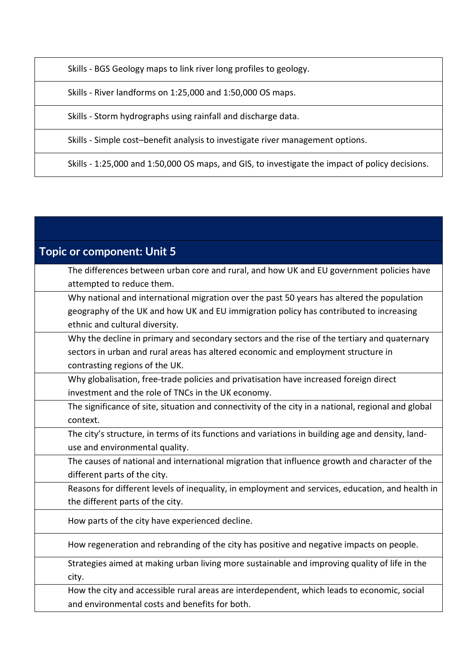Skills - BGS Geology maps to link river long profiles to geology.

Skills - River landforms on 1:25,000 and 1:50,000 OS maps.

Skills - Storm hydrographs using rainfall and discharge data.

Skills - Simple cost–benefit analysis to investigate river management options.

Skills - 1:25,000 and 1:50,000 OS maps, and GIS, to investigate the impact of policy decisions.

| <b>Topic or component: Unit 5</b>                                                                   |
|-----------------------------------------------------------------------------------------------------|
| The differences between urban core and rural, and how UK and EU government policies have            |
| attempted to reduce them.                                                                           |
| Why national and international migration over the past 50 years has altered the population          |
| geography of the UK and how UK and EU immigration policy has contributed to increasing              |
| ethnic and cultural diversity.                                                                      |
| Why the decline in primary and secondary sectors and the rise of the tertiary and quaternary        |
| sectors in urban and rural areas has altered economic and employment structure in                   |
| contrasting regions of the UK.                                                                      |
| Why globalisation, free-trade policies and privatisation have increased foreign direct              |
| investment and the role of TNCs in the UK economy.                                                  |
| The significance of site, situation and connectivity of the city in a national, regional and global |
| context.                                                                                            |
| The city's structure, in terms of its functions and variations in building age and density, land-   |
| use and environmental quality.                                                                      |
| The causes of national and international migration that influence growth and character of the       |
| different parts of the city.                                                                        |
| Reasons for different levels of inequality, in employment and services, education, and health in    |
| the different parts of the city.                                                                    |
| How parts of the city have experienced decline.                                                     |
| How regeneration and rebranding of the city has positive and negative impacts on people.            |
| Strategies aimed at making urban living more sustainable and improving quality of life in the       |
| city.                                                                                               |
| How the city and accessible rural areas are interdependent, which leads to economic, social         |
| and environmental costs and benefits for both.                                                      |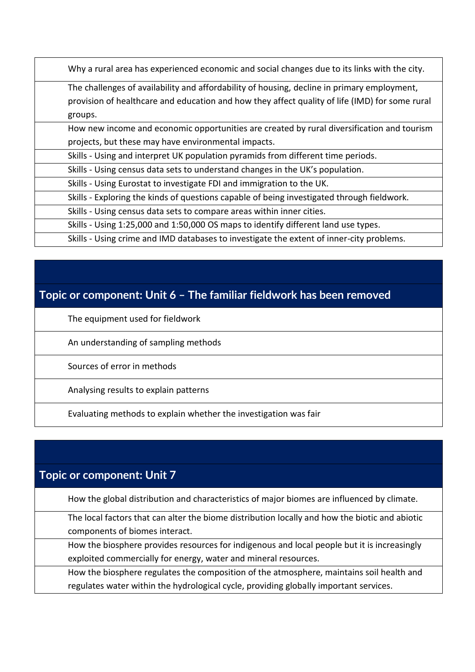Why a rural area has experienced economic and social changes due to its links with the city.

The challenges of availability and affordability of housing, decline in primary employment, provision of healthcare and education and how they affect quality of life (IMD) for some rural groups.

How new income and economic opportunities are created by rural diversification and tourism projects, but these may have environmental impacts.

Skills - Using and interpret UK population pyramids from different time periods.

Skills - Using census data sets to understand changes in the UK's population.

Skills - Using Eurostat to investigate FDI and immigration to the UK.

Skills - Exploring the kinds of questions capable of being investigated through fieldwork.

Skills - Using census data sets to compare areas within inner cities.

Skills - Using 1:25,000 and 1:50,000 OS maps to identify different land use types.

Skills - Using crime and IMD databases to investigate the extent of inner-city problems.

#### **Topic or component: Unit 6 – The familiar fieldwork has been removed**

The equipment used for fieldwork

An understanding of sampling methods

Sources of error in methods

Analysing results to explain patterns

Evaluating methods to explain whether the investigation was fair

#### **Topic or component: Unit 7**

How the global distribution and characteristics of major biomes are influenced by climate.

The local factors that can alter the biome distribution locally and how the biotic and abiotic components of biomes interact.

How the biosphere provides resources for indigenous and local people but it is increasingly exploited commercially for energy, water and mineral resources.

How the biosphere regulates the composition of the atmosphere, maintains soil health and regulates water within the hydrological cycle, providing globally important services.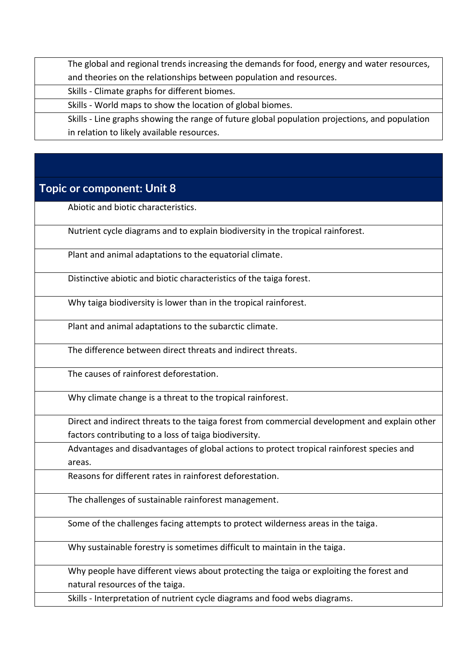The global and regional trends increasing the demands for food, energy and water resources, and theories on the relationships between population and resources.

Skills - Climate graphs for different biomes.

Skills - World maps to show the location of global biomes.

Skills - Line graphs showing the range of future global population projections, and population in relation to likely available resources.

#### **Topic or component: Unit 8**

Abiotic and biotic characteristics.

Nutrient cycle diagrams and to explain biodiversity in the tropical rainforest.

Plant and animal adaptations to the equatorial climate.

Distinctive abiotic and biotic characteristics of the taiga forest.

Why taiga biodiversity is lower than in the tropical rainforest.

Plant and animal adaptations to the subarctic climate.

The difference between direct threats and indirect threats.

The causes of rainforest deforestation.

Why climate change is a threat to the tropical rainforest.

Direct and indirect threats to the taiga forest from commercial development and explain other factors contributing to a loss of taiga biodiversity.

Advantages and disadvantages of global actions to protect tropical rainforest species and areas.

Reasons for different rates in rainforest deforestation.

The challenges of sustainable rainforest management.

Some of the challenges facing attempts to protect wilderness areas in the taiga.

Why sustainable forestry is sometimes difficult to maintain in the taiga.

Why people have different views about protecting the taiga or exploiting the forest and natural resources of the taiga.

Skills - Interpretation of nutrient cycle diagrams and food webs diagrams.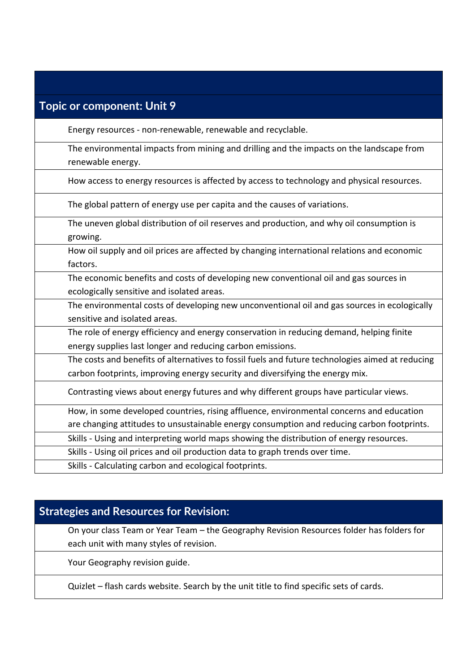| <b>Topic or component: Unit 9</b>                                                                                                                                                      |
|----------------------------------------------------------------------------------------------------------------------------------------------------------------------------------------|
| Energy resources - non-renewable, renewable and recyclable.                                                                                                                            |
| The environmental impacts from mining and drilling and the impacts on the landscape from<br>renewable energy.                                                                          |
| How access to energy resources is affected by access to technology and physical resources.                                                                                             |
| The global pattern of energy use per capita and the causes of variations.                                                                                                              |
| The uneven global distribution of oil reserves and production, and why oil consumption is<br>growing.                                                                                  |
| How oil supply and oil prices are affected by changing international relations and economic<br>factors.                                                                                |
| The economic benefits and costs of developing new conventional oil and gas sources in<br>ecologically sensitive and isolated areas.                                                    |
| The environmental costs of developing new unconventional oil and gas sources in ecologically<br>sensitive and isolated areas.                                                          |
| The role of energy efficiency and energy conservation in reducing demand, helping finite<br>energy supplies last longer and reducing carbon emissions.                                 |
| The costs and benefits of alternatives to fossil fuels and future technologies aimed at reducing<br>carbon footprints, improving energy security and diversifying the energy mix.      |
| Contrasting views about energy futures and why different groups have particular views.                                                                                                 |
| How, in some developed countries, rising affluence, environmental concerns and education<br>are changing attitudes to unsustainable energy consumption and reducing carbon footprints. |
| Skills - Using and interpreting world maps showing the distribution of energy resources.                                                                                               |
| Skills - Using oil prices and oil production data to graph trends over time.                                                                                                           |
| Skills - Calculating carbon and ecological footprints.                                                                                                                                 |

## **Strategies and Resources for Revision:**

On your class Team or Year Team – the Geography Revision Resources folder has folders for each unit with many styles of revision.

Your Geography revision guide.

Quizlet – flash cards website. Search by the unit title to find specific sets of cards.